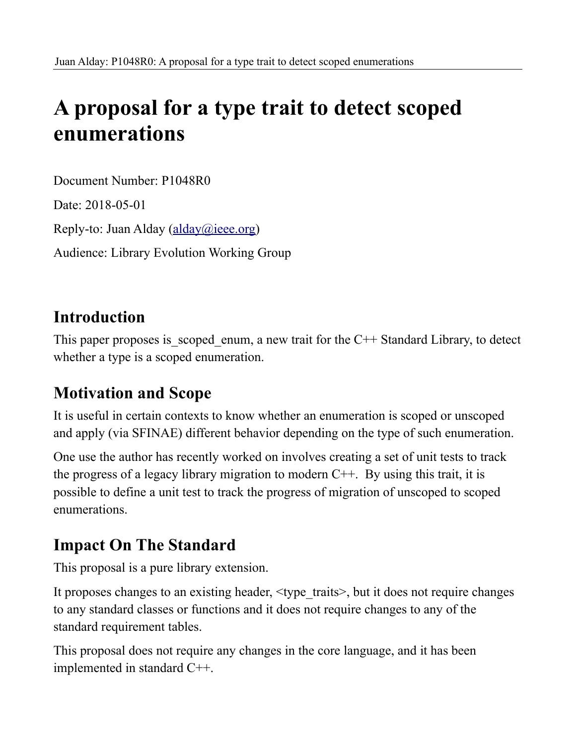# **A proposal for a type trait to detect scoped enumerations**

Document Number: P1048R0 Date: 2018-05-01 Reply-to: Juan Alday [\(alday@ieee.org\)](mailto:alday@ieee.org) Audience: Library Evolution Working Group

### **Introduction**

This paper proposes is scoped enum, a new trait for the  $C++$  Standard Library, to detect whether a type is a scoped enumeration.

# **Motivation and Scope**

It is useful in certain contexts to know whether an enumeration is scoped or unscoped and apply (via SFINAE) different behavior depending on the type of such enumeration.

One use the author has recently worked on involves creating a set of unit tests to track the progress of a legacy library migration to modern  $C++$ . By using this trait, it is possible to define a unit test to track the progress of migration of unscoped to scoped enumerations.

# **Impact On The Standard**

This proposal is a pure library extension.

It proposes changes to an existing header,  $\lt$ type traits>, but it does not require changes to any standard classes or functions and it does not require changes to any of the standard requirement tables.

This proposal does not require any changes in the core language, and it has been implemented in standard C++.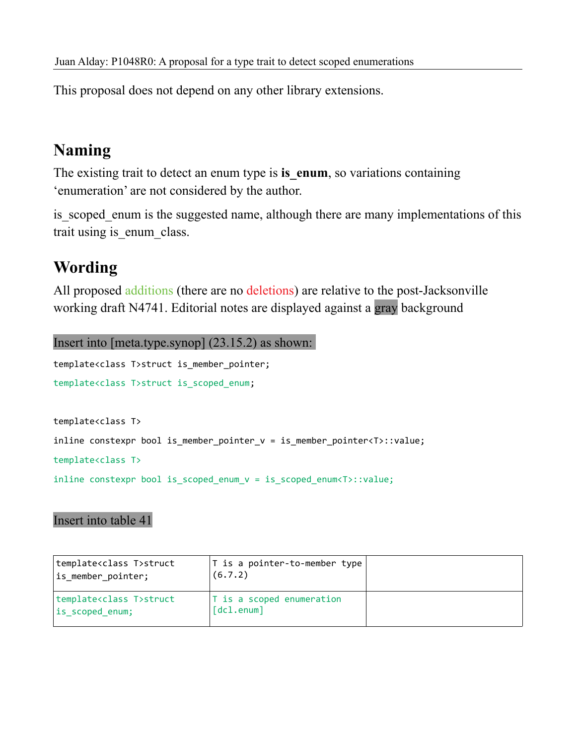This proposal does not depend on any other library extensions.

# **Naming**

The existing trait to detect an enum type is **is enum**, so variations containing 'enumeration' are not considered by the author.

is scoped enum is the suggested name, although there are many implementations of this trait using is enum class.

# **Wording**

All proposed additions (there are no deletions) are relative to the post-Jacksonville working draft N4741. Editorial notes are displayed against a gray background

```
Insert into [meta.type.synop] (23.15.2) as shown: 
template<class T>struct is member pointer;
template<class T>struct is_scoped_enum;
template<class T>
inline constexpr bool is_member_pointer_v = is_member_pointer<T>::value;
```

```
template<class T>
```
inline constexpr bool is\_scoped\_enum\_v = is\_scoped\_enum<T>::value;

#### Insert into table 41

| template <class t="">struct<br/>is member pointer;</class> | $ T $ is a pointer-to-member type<br>(6.7.2)          |  |
|------------------------------------------------------------|-------------------------------------------------------|--|
| template <class t="">struct<br/>is scoped enum;</class>    | T is a scoped enumeration<br>$\lceil dcl.enum \rceil$ |  |